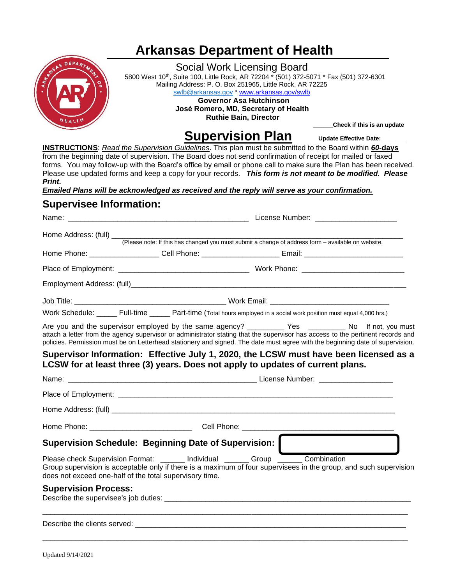# **Arkansas Department of Health**



## Social Work Licensing Board

5800 West 10<sup>th</sup>, Suite 100, Little Rock, AR 72204 \* (501) 372-5071 \* Fax (501) 372-6301 Mailing Address: P. O. Box 251965, Little Rock, AR 72225 [swlb@arkansas.gov](mailto:swlb@arkansas.gov) \* [www.arkansas.gov/swlb](https://www.healthy.arkansas.gov/programs-services/topics/arkansas-social-work-licensing-board)  **Governor Asa Hutchinson José Romero, MD, Secretary of Health Ruthie Bain, Director**

**Supervision Plan** Update Effective Date:

 **\_\_\_\_\_\_Check if this is an update**

**INSTRUCTIONS**: *Read the Supervision Guidelines*. This plan must be submitted to the Board within *60-***days** from the beginning date of supervision. The Board does not send confirmation of receipt for mailed or faxed forms. You may follow-up with the Board's office by email or phone call to make sure the Plan has been received. Please use updated forms and keep a copy for your records. *This form is not meant to be modified. Please Print.*

*Emailed Plans will be acknowledged as received and the reply will serve as your confirmation.*

## **Supervisee Information:**

|                                                                                                                                                                                                                                                                                                                                                                              |  |                                                                                                    |  | License Number: _________________________ |  |  |
|------------------------------------------------------------------------------------------------------------------------------------------------------------------------------------------------------------------------------------------------------------------------------------------------------------------------------------------------------------------------------|--|----------------------------------------------------------------------------------------------------|--|-------------------------------------------|--|--|
|                                                                                                                                                                                                                                                                                                                                                                              |  |                                                                                                    |  |                                           |  |  |
|                                                                                                                                                                                                                                                                                                                                                                              |  | (Please note: If this has changed you must submit a change of address form - available on website. |  |                                           |  |  |
| Home Phone: _____________________Cell Phone: __________________________Email: ________________________________                                                                                                                                                                                                                                                               |  |                                                                                                    |  |                                           |  |  |
|                                                                                                                                                                                                                                                                                                                                                                              |  |                                                                                                    |  |                                           |  |  |
|                                                                                                                                                                                                                                                                                                                                                                              |  |                                                                                                    |  |                                           |  |  |
|                                                                                                                                                                                                                                                                                                                                                                              |  |                                                                                                    |  |                                           |  |  |
| Work Schedule: _____ Full-time _____ Part-time (Total hours employed in a social work position must equal 4,000 hrs.)                                                                                                                                                                                                                                                        |  |                                                                                                    |  |                                           |  |  |
| Are you and the supervisor employed by the same agency? ____________ Yes ___________ No If not, you must<br>attach a letter from the agency supervisor or administrator stating that the supervisor has access to the pertinent records and<br>policies. Permission must be on Letterhead stationery and signed. The date must agree with the beginning date of supervision. |  |                                                                                                    |  |                                           |  |  |
| Supervisor Information: Effective July 1, 2020, the LCSW must have been licensed as a<br>LCSW for at least three (3) years. Does not apply to updates of current plans.                                                                                                                                                                                                      |  |                                                                                                    |  |                                           |  |  |
|                                                                                                                                                                                                                                                                                                                                                                              |  |                                                                                                    |  |                                           |  |  |
|                                                                                                                                                                                                                                                                                                                                                                              |  |                                                                                                    |  |                                           |  |  |
|                                                                                                                                                                                                                                                                                                                                                                              |  |                                                                                                    |  |                                           |  |  |
|                                                                                                                                                                                                                                                                                                                                                                              |  |                                                                                                    |  |                                           |  |  |
| Supervision Schedule: Beginning Date of Supervision:                                                                                                                                                                                                                                                                                                                         |  |                                                                                                    |  |                                           |  |  |
| Please check Supervision Format: ______ Individual ______ Group _____ Combination<br>Group supervision is acceptable only if there is a maximum of four supervisees in the group, and such supervision<br>does not exceed one-half of the total supervisory time.                                                                                                            |  |                                                                                                    |  |                                           |  |  |
| <b>Supervision Process:</b>                                                                                                                                                                                                                                                                                                                                                  |  |                                                                                                    |  |                                           |  |  |
|                                                                                                                                                                                                                                                                                                                                                                              |  |                                                                                                    |  |                                           |  |  |